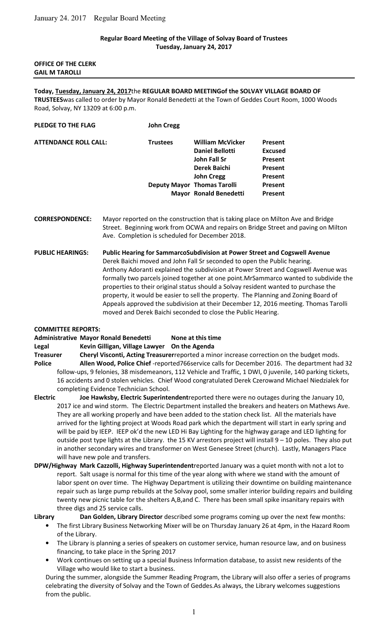### **Regular Board Meeting of the Village of Solvay Board of Trustees Tuesday, January 24, 2017**

### **OFFICE OF THE CLERK GAIL M TAROLLI**

# **Today, Tuesday, January 24, 2017**the **REGULAR BOARD MEETINGof the SOLVAY VILLAGE BOARD OF**

**TRUSTEES**was called to order by Mayor Ronald Benedetti at the Town of Geddes Court Room, 1000 Woods Road, Solvay, NY 13209 at 6:00 p.m.

| PLEDGE TO THE FLAG           | <b>John Cregg</b> |                                    |                |  |
|------------------------------|-------------------|------------------------------------|----------------|--|
| <b>ATTENDANCE ROLL CALL:</b> | <b>Trustees</b>   | <b>William McVicker</b>            | <b>Present</b> |  |
|                              |                   | <b>Daniel Bellotti</b>             | <b>Excused</b> |  |
|                              |                   | John Fall Sr                       | <b>Present</b> |  |
|                              |                   | Derek Baichi                       | <b>Present</b> |  |
|                              |                   | <b>John Cregg</b>                  | <b>Present</b> |  |
|                              |                   | <b>Deputy Mayor Thomas Tarolli</b> | <b>Present</b> |  |
|                              |                   | <b>Mayor Ronald Benedetti</b>      | <b>Present</b> |  |
|                              |                   |                                    |                |  |

**CORRESPONDENCE:** Mayor reported on the construction that is taking place on Milton Ave and Bridge Street. Beginning work from OCWA and repairs on Bridge Street and paving on Milton Ave. Completion is scheduled for December 2018.

**PUBLIC HEARINGS: Public Hearing for SammarcoSubdivision at Power Street and Cogswell Avenue** Derek Baichi moved and John Fall Sr seconded to open the Public hearing. Anthony Adoranti explained the subdivision at Power Street and Cogswell Avenue was formally two parcels joined together at one point.MrSammarco wanted to subdivide the properties to their original status should a Solvay resident wanted to purchase the property, it would be easier to sell the property. The Planning and Zoning Board of Appeals approved the subdivision at their December 12, 2016 meeting. Thomas Tarolli moved and Derek Baichi seconded to close the Public Hearing.

### **COMMITTEE REPORTS:**

|                  | <b>Administrative Mayor Ronald Benedetti</b>        | None at this time |
|------------------|-----------------------------------------------------|-------------------|
| Legal            | Kevin Gilligan, Village Lawyer                      | On the Agenda     |
| <b>Treasurer</b> | Cheryl Visconti, Acting Treasurerreported a minor i |                   |

Increase correction on the budget mods. **Police Allen Wood, Police Chief** -reported766service calls for December 2016. The department had 32 follow-ups, 9 felonies, 38 misdemeanors, 112 Vehicle and Traffic, 1 DWI, 0 juvenile, 140 parking tickets, 16 accidents and 0 stolen vehicles. Chief Wood congratulated Derek Czerowand Michael Niedzialek for completing Evidence Technician School.

- **Electric Joe Hawksby, Electric Superintendent**reported there were no outages during the January 10, 2017 ice and wind storm. The Electric Department installed the breakers and heaters on Mathews Ave. They are all working properly and have been added to the station check list. All the materials have arrived for the lighting project at Woods Road park which the department will start in early spring and will be paid by IEEP. IEEP ok'd the new LED Hi Bay Lighting for the highway garage and LED lighting for outside post type lights at the Library. the 15 KV arrestors project will install 9 – 10 poles. They also put in another secondary wires and transformer on West Genesee Street (church). Lastly, Managers Place will have new pole and transfers.
- **DPW/Highway Mark Cazzolli, Highway Superintendent**reported January was a quiet month with not a lot to report. Salt usage is normal for this time of the year along with where we stand with the amount of labor spent on over time. The Highway Department is utilizing their downtime on building maintenance repair such as large pump rebuilds at the Solvay pool, some smaller interior building repairs and building twenty new picnic table for the shelters A,B,and C. There has been small spike insanitary repairs with three digs and 25 service calls.
- **Library Dan Golden, Library Director** described some programs coming up over the next few months:
	- The first Library Business Networking Mixer will be on Thursday January 26 at 4pm, in the Hazard Room of the Library.
	- The Library is planning a series of speakers on customer service, human resource law, and on business financing, to take place in the Spring 2017
	- Work continues on setting up a special Business Information database, to assist new residents of the Village who would like to start a business.

During the summer, alongside the Summer Reading Program, the Library will also offer a series of programs celebrating the diversity of Solvay and the Town of Geddes.As always, the Library welcomes suggestions from the public.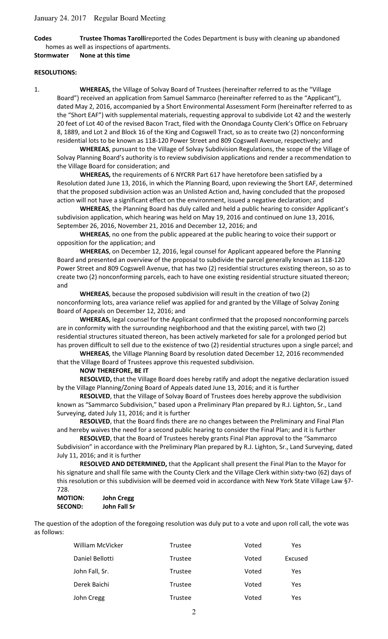**Codes Trustee Thomas Tarolli**reported the Codes Department is busy with cleaning up abandoned homes as well as inspections of apartments.

**Stormwater None at this time** 

### **RESOLUTIONS:**

1. **WHEREAS,** the Village of Solvay Board of Trustees (hereinafter referred to as the "Village Board") received an application from Samuel Sammarco (hereinafter referred to as the "Applicant"), dated May 2, 2016, accompanied by a Short Environmental Assessment Form (hereinafter referred to as the "Short EAF") with supplemental materials, requesting approval to subdivide Lot 42 and the westerly 20 feet of Lot 40 of the revised Bacon Tract, filed with the Onondaga County Clerk's Office on February 8, 1889, and Lot 2 and Block 16 of the King and Cogswell Tract, so as to create two (2) nonconforming residential lots to be known as 118-120 Power Street and 809 Cogswell Avenue, respectively; and

**WHEREAS**, pursuant to the Village of Solvay Subdivision Regulations, the scope of the Village of Solvay Planning Board's authority is to review subdivision applications and render a recommendation to the Village Board for consideration; and

**WHEREAS,** the requirements of 6 NYCRR Part 617 have heretofore been satisfied by a Resolution dated June 13, 2016, in which the Planning Board, upon reviewing the Short EAF, determined that the proposed subdivision action was an Unlisted Action and, having concluded that the proposed action will not have a significant effect on the environment, issued a negative declaration; and

**WHEREAS**, the Planning Board has duly called and held a public hearing to consider Applicant's subdivision application, which hearing was held on May 19, 2016 and continued on June 13, 2016, September 26, 2016, November 21, 2016 and December 12, 2016; and

**WHEREAS**, no one from the public appeared at the public hearing to voice their support or opposition for the application; and

**WHEREAS**, on December 12, 2016, legal counsel for Applicant appeared before the Planning Board and presented an overview of the proposal to subdivide the parcel generally known as 118-120 Power Street and 809 Cogswell Avenue, that has two (2) residential structures existing thereon, so as to create two (2) nonconforming parcels, each to have one existing residential structure situated thereon; and

**WHEREAS**, because the proposed subdivision will result in the creation of two (2) nonconforming lots, area variance relief was applied for and granted by the Village of Solvay Zoning Board of Appeals on December 12, 2016; and

**WHEREAS,** legal counsel for the Applicant confirmed that the proposed nonconforming parcels are in conformity with the surrounding neighborhood and that the existing parcel, with two (2) residential structures situated thereon, has been actively marketed for sale for a prolonged period but has proven difficult to sell due to the existence of two (2) residential structures upon a single parcel; and

**WHEREAS**, the Village Planning Board by resolution dated December 12, 2016 recommended that the Village Board of Trustees approve this requested subdivision.

### **NOW THEREFORE, BE IT**

**RESOLVED,** that the Village Board does hereby ratify and adopt the negative declaration issued by the Village Planning/Zoning Board of Appeals dated June 13, 2016; and it is further

**RESOLVED**, that the Village of Solvay Board of Trustees does hereby approve the subdivision known as "Sammarco Subdivision," based upon a Preliminary Plan prepared by R.J. Lighton, Sr., Land Surveying, dated July 11, 2016; and it is further

**RESOLVED**, that the Board finds there are no changes between the Preliminary and Final Plan and hereby waives the need for a second public hearing to consider the Final Plan; and it is further

**RESOLVED**, that the Board of Trustees hereby grants Final Plan approval to the "Sammarco Subdivision" in accordance with the Preliminary Plan prepared by R.J. Lighton, Sr., Land Surveying, dated July 11, 2016; and it is further

**RESOLVED AND DETERMINED,** that the Applicant shall present the Final Plan to the Mayor for his signature and shall file same with the County Clerk and the Village Clerk within sixty-two (62) days of this resolution or this subdivision will be deemed void in accordance with New York State Village Law §7- 728.

| <b>MOTION:</b> | <b>John Cregg</b> |
|----------------|-------------------|
| SECOND:        | John Fall Sr      |

The question of the adoption of the foregoing resolution was duly put to a vote and upon roll call, the vote was as follows:

| William McVicker | Trustee        | Voted | Yes     |
|------------------|----------------|-------|---------|
| Daniel Bellotti  | Trustee        | Voted | Excused |
| John Fall, Sr.   | <b>Trustee</b> | Voted | Yes     |
| Derek Baichi     | <b>Trustee</b> | Voted | Yes     |
| John Cregg       | Trustee        | Voted | Yes     |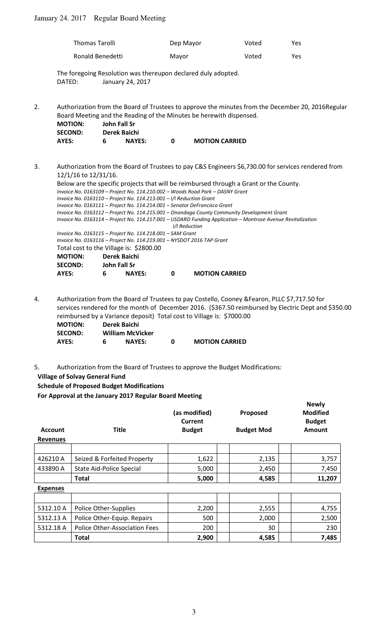# January 24. 2017 Regular Board Meeting

| Thomas Tarolli   | Dep Mayor | Voted | <b>Yes</b> |
|------------------|-----------|-------|------------|
| Ronald Benedetti | Mayor     | Voted | Yes.       |

The foregoing Resolution was thereupon declared duly adopted. DATED: January 24, 2017

2. Authorization from the Board of Trustees to approve the minutes from the December 20, 2016Regular Board Meeting and the Reading of the Minutes be herewith dispensed.

| <b>MOTION:</b> |   | John Fall Sr  |   |                       |
|----------------|---|---------------|---|-----------------------|
| <b>SECOND:</b> |   | Derek Baichi  |   |                       |
| AYES:          | 6 | <b>NAYES:</b> | O | <b>MOTION CARRIED</b> |

3. Authorization from the Board of Trustees to pay C&S Engineers \$6,730.00 for services rendered from 12/1/16 to 12/31/16.

 Below are the specific projects that will be reimbursed through a Grant or the County. *Invoice No. 0163109 – Project No. 114.210.002 – Woods Road Park – DASNY Grant Invoice No. 0163110 – Project No. 114.213.001 – I/I Reduction Grant Invoice No. 0163111 – Project No. 114.214.001 – Senator DeFrancisco Grant Invoice No. 0163112 – Project No. 114.215.001 – Onondaga County Community Development Grant Invoice No. 0163114 – Project No. 114.217.001 – USDARD Funding Application – Montrose Avenue Revitalization I/I Reduction Invoice No. 0163115 – Project No. 114.218.001 – SAM Grant Invoice No. 0163116 – Project No. 114.219.001 – NYSDOT 2016 TAP Grant*  Total cost to the Village is: \$2800.00  **MOTION: Derek Baichi SECOND: John Fall Sr AYES: 6 NAYES: 0 MOTION CARRIED** 

4. Authorization from the Board of Trustees to pay Costello, Cooney &Fearon, PLLC \$7,717.50 for services rendered for the month of December 2016. (\$367.50 reimbursed by Electric Dept and \$350.00 reimbursed by a Variance deposit) Total cost to Village is: \$7000.00  **MOTION: Derek Baichi** 

| <b>IVIUTIUIV.</b> | DETER DAILIT |                         |                       |
|-------------------|--------------|-------------------------|-----------------------|
| <b>SECOND:</b>    |              | <b>William McVicker</b> |                       |
| AYES:             | 6            | <b>NAYES:</b>           | <b>MOTION CARRIED</b> |

5. Authorization from the Board of Trustees to approve the Budget Modifications:

## **Village of Solvay General Fund**

**Schedule of Proposed Budget Modifications**

**For Approval at the January 2017 Regular Board Meeting**

| <b>Account</b><br><b>Revenues</b> | <b>Title</b>                    | (as modified)<br>Current<br><b>Budget</b> | Proposed<br><b>Budget Mod</b> | <b>Newly</b><br><b>Modified</b><br><b>Budget</b><br><b>Amount</b> |
|-----------------------------------|---------------------------------|-------------------------------------------|-------------------------------|-------------------------------------------------------------------|
|                                   |                                 |                                           |                               |                                                                   |
| 426210 A                          | Seized & Forfeited Property     | 1,622                                     | 2,135                         | 3,757                                                             |
| 433890 A                          | <b>State Aid-Police Special</b> | 5,000                                     | 2,450                         | 7,450                                                             |
|                                   | Total                           | 5,000                                     | 4,585                         | 11,207                                                            |
| <b>Expenses</b>                   |                                 |                                           |                               |                                                                   |
|                                   |                                 |                                           |                               |                                                                   |
| 5312.10 A                         | Police Other-Supplies           | 2,200                                     | 2,555                         | 4,755                                                             |
| 5312.13 A                         | Police Other-Equip. Repairs     | 500                                       | 2,000                         | 2,500                                                             |
| 5312.18 A                         | Police Other-Association Fees   | 200                                       | 30                            | 230                                                               |
|                                   | <b>Total</b>                    | 2,900                                     | 4,585                         | 7,485                                                             |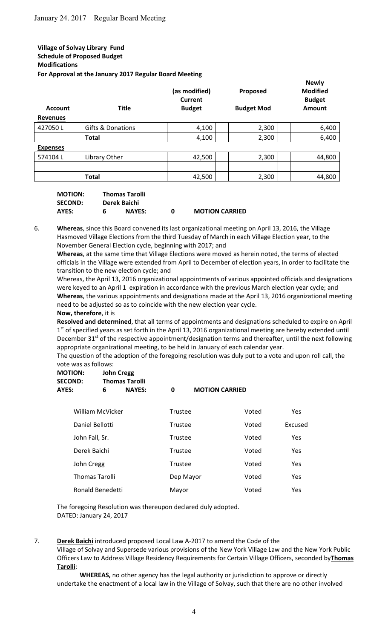## **Village of Solvay Library Fund Schedule of Proposed Budget Modifications For Approval at the January 2017 Regular Board Meeting**

| <b>Account</b><br><b>Revenues</b> | <b>Title</b>      | (as modified)<br>Current<br><b>Budget</b> | Proposed<br><b>Budget Mod</b> | <b>Newly</b><br><b>Modified</b><br><b>Budget</b><br>Amount |
|-----------------------------------|-------------------|-------------------------------------------|-------------------------------|------------------------------------------------------------|
| 427050L                           | Gifts & Donations | 4,100                                     | 2,300                         | 6,400                                                      |
|                                   | <b>Total</b>      | 4,100                                     | 2,300                         | 6,400                                                      |
| <b>Expenses</b>                   |                   |                                           |                               |                                                            |
| 574104L                           | Library Other     | 42,500                                    | 2,300                         | 44,800                                                     |
|                                   |                   |                                           |                               |                                                            |
|                                   | <b>Total</b>      | 42,500                                    | 2,300                         | 44,800                                                     |

| <b>MOTION:</b> |   | <b>Thomas Tarolli</b> |   |                       |
|----------------|---|-----------------------|---|-----------------------|
| <b>SECOND:</b> |   | Derek Baichi          |   |                       |
| AYES:          | 6 | <b>NAYES:</b>         | n | <b>MOTION CARRIED</b> |

6. **Whereas**, since this Board convened its last organizational meeting on April 13, 2016, the Village Hasmoved Village Elections from the third Tuesday of March in each Village Election year, to the November General Election cycle, beginning with 2017; and

**Whereas**, at the same time that Village Elections were moved as herein noted, the terms of elected officials in the Village were extended from April to December of election years, in order to facilitate the transition to the new election cycle; and

Whereas, the April 13, 2016 organizational appointments of various appointed officials and designations were keyed to an April 1 expiration in accordance with the previous March election year cycle; and **Whereas**, the various appointments and designations made at the April 13, 2016 organizational meeting need to be adjusted so as to coincide with the new election year cycle. **Now, therefore**, it is

**Resolved and determined**, that all terms of appointments and designations scheduled to expire on April 1<sup>st</sup> of specified years as set forth in the April 13, 2016 organizational meeting are hereby extended until December  $31^{st}$  of the respective appointment/designation terms and thereafter, until the next following appropriate organizational meeting, to be held in January of each calendar year.

The question of the adoption of the foregoing resolution was duly put to a vote and upon roll call, the vote was as follows:

| <b>MOTION:</b> |   | John Cregg            |                       |
|----------------|---|-----------------------|-----------------------|
| <b>SECOND:</b> |   | <b>Thomas Tarolli</b> |                       |
| AYES:          | 6 | <b>NAYES:</b>         | <b>MOTION CARRIED</b> |

| William McVicker      | Trustee   | Voted | Yes        |
|-----------------------|-----------|-------|------------|
| Daniel Bellotti       | Trustee   | Voted | Excused    |
| John Fall, Sr.        | Trustee   | Voted | Yes        |
| Derek Baichi          | Trustee   | Voted | Yes        |
| John Cregg            | Trustee   | Voted | Yes        |
| <b>Thomas Tarolli</b> | Dep Mayor | Voted | <b>Yes</b> |
| Ronald Benedetti      | Mayor     | Voted | Yes        |

The foregoing Resolution was thereupon declared duly adopted. DATED: January 24, 2017

### 7. **Derek Baichi** introduced proposed Local Law A-2017 to amend the Code of the

Village of Solvay and Supersede various provisions of the New York Village Law and the New York Public Officers Law to Address Village Residency Requirements for Certain Village Officers, seconded by**Thomas Tarolli**:

**WHEREAS,** no other agency has the legal authority or jurisdiction to approve or directly undertake the enactment of a local law in the Village of Solvay, such that there are no other involved